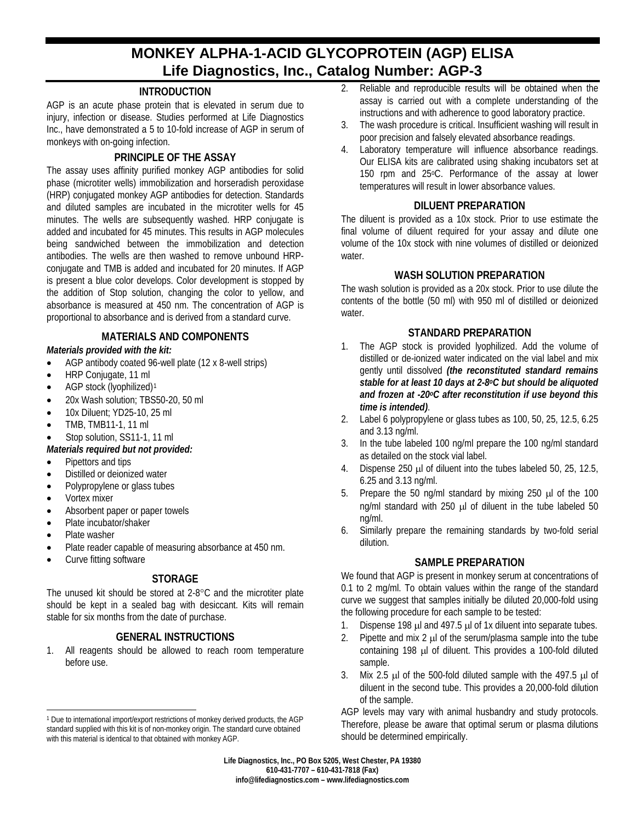# **MONKEY ALPHA-1-ACID GLYCOPROTEIN (AGP) ELISA Life Diagnostics, Inc., Catalog Number: AGP-3**

# **INTRODUCTION**

AGP is an acute phase protein that is elevated in serum due to injury, infection or disease. Studies performed at Life Diagnostics Inc., have demonstrated a 5 to 10-fold increase of AGP in serum of monkeys with on-going infection.

## **PRINCIPLE OF THE ASSAY**

The assay uses affinity purified monkey AGP antibodies for solid phase (microtiter wells) immobilization and horseradish peroxidase (HRP) conjugated monkey AGP antibodies for detection. Standards and diluted samples are incubated in the microtiter wells for 45 minutes. The wells are subsequently washed. HRP conjugate is added and incubated for 45 minutes. This results in AGP molecules being sandwiched between the immobilization and detection antibodies. The wells are then washed to remove unbound HRPconjugate and TMB is added and incubated for 20 minutes. If AGP is present a blue color develops. Color development is stopped by the addition of Stop solution, changing the color to yellow, and absorbance is measured at 450 nm. The concentration of AGP is proportional to absorbance and is derived from a standard curve.

## **MATERIALS AND COMPONENTS**

#### *Materials provided with the kit:*

- AGP antibody coated 96-well plate (12 x 8-well strips)
- HRP Conjugate, 11 ml
- AGP stock (lyophilized)<sup>[1](#page-0-0)</sup>
- 20x Wash solution; TBS50-20, 50 ml
- 10x Diluent; YD25-10, 25 ml
- TMB, TMB11-1, 11 ml
- Stop solution, SS11-1, 11 ml

#### *Materials required but not provided:*

- Pipettors and tips
- Distilled or deionized water
- Polypropylene or glass tubes
- Vortex mixer
- Absorbent paper or paper towels
- Plate incubator/shaker
- Plate washer
- Plate reader capable of measuring absorbance at 450 nm.
- Curve fitting software

# **STORAGE**

The unused kit should be stored at 2-8°C and the microtiter plate should be kept in a sealed bag with desiccant. Kits will remain stable for six months from the date of purchase.

# **GENERAL INSTRUCTIONS**

1. All reagents should be allowed to reach room temperature before use.

- 2. Reliable and reproducible results will be obtained when the assay is carried out with a complete understanding of the instructions and with adherence to good laboratory practice.
- 3. The wash procedure is critical. Insufficient washing will result in poor precision and falsely elevated absorbance readings.
- 4. Laboratory temperature will influence absorbance readings. Our ELISA kits are calibrated using shaking incubators set at 150 rpm and 25°C. Performance of the assay at lower temperatures will result in lower absorbance values.

#### **DILUENT PREPARATION**

The diluent is provided as a 10x stock. Prior to use estimate the final volume of diluent required for your assay and dilute one volume of the 10x stock with nine volumes of distilled or deionized water.

#### **WASH SOLUTION PREPARATION**

The wash solution is provided as a 20x stock. Prior to use dilute the contents of the bottle (50 ml) with 950 ml of distilled or deionized water.

## **STANDARD PREPARATION**

- 1. The AGP stock is provided lyophilized. Add the volume of distilled or de-ionized water indicated on the vial label and mix gently until dissolved *(the reconstituted standard remains stable for at least 10 days at 2-8oC but should be aliquoted and frozen at -20oC after reconstitution if use beyond this time is intended)*.
- 2. Label 6 polypropylene or glass tubes as 100, 50, 25, 12.5, 6.25 and 3.13 ng/ml.
- 3. In the tube labeled 100 ng/ml prepare the 100 ng/ml standard as detailed on the stock vial label.
- 4. Dispense 250 µl of diluent into the tubes labeled 50, 25, 12.5, 6.25 and 3.13 ng/ml.
- 5. Prepare the 50 ng/ml standard by mixing 250 µl of the 100 ng/ml standard with 250  $\mu$ l of diluent in the tube labeled 50 ng/ml.
- 6. Similarly prepare the remaining standards by two-fold serial dilution.

# **SAMPLE PREPARATION**

We found that AGP is present in monkey serum at concentrations of 0.1 to 2 mg/ml. To obtain values within the range of the standard curve we suggest that samples initially be diluted 20,000-fold using the following procedure for each sample to be tested:

- 1. Dispense 198 µl and 497.5 µl of 1x diluent into separate tubes.
- 2. Pipette and mix 2  $\mu$  of the serum/plasma sample into the tube containing 198 µl of diluent. This provides a 100-fold diluted sample.
- 3. Mix 2.5  $\mu$  of the 500-fold diluted sample with the 497.5  $\mu$  of diluent in the second tube. This provides a 20,000-fold dilution of the sample.

AGP levels may vary with animal husbandry and study protocols. Therefore, please be aware that optimal serum or plasma dilutions should be determined empirically.

**Life Diagnostics, Inc., PO Box 5205, West Chester, PA 19380 610-431-7707 – 610-431-7818 (Fax) info@lifediagnostics.com – www.lifediagnostics.com**

<span id="page-0-0"></span> $\overline{a}$ <sup>1</sup> Due to international import/export restrictions of monkey derived products, the AGP standard supplied with this kit is of non-monkey origin. The standard curve obtained with this material is identical to that obtained with monkey AGP.